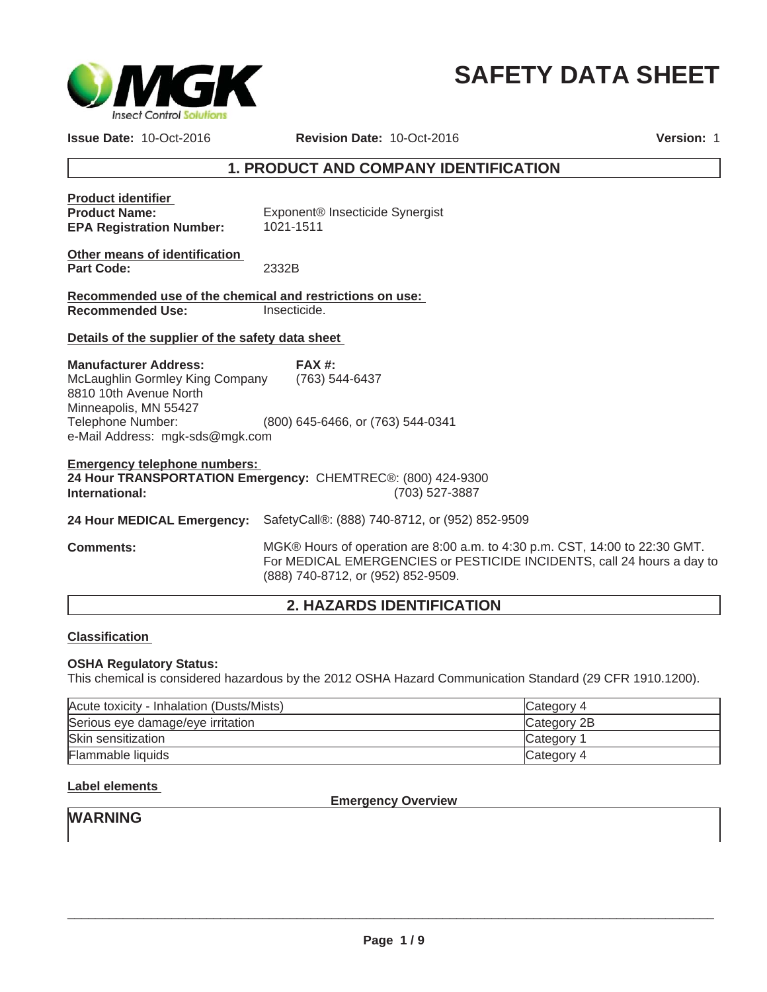

# **SAFETY DATA SHEET**

**Issue Date:** 10-Oct-2016

**Revision Date:** 10-Oct-2016

**Version:** 1

## **1. PRODUCT AND COMPANY IDENTIFICATION**

| <b>Product identifier</b><br><b>Product Name:</b><br><b>EPA Registration Number:</b> | Exponent <sup>®</sup> Insecticide Synergist<br>1021-1511    |
|--------------------------------------------------------------------------------------|-------------------------------------------------------------|
| Other means of identification<br><b>Part Code:</b>                                   | 2332B                                                       |
| Recommended use of the chemical and restrictions on use:                             |                                                             |
| <b>Recommended Use:</b>                                                              | Insecticide.                                                |
|                                                                                      |                                                             |
| Details of the supplier of the safety data sheet                                     |                                                             |
|                                                                                      |                                                             |
| <b>Manufacturer Address:</b>                                                         | FAX#                                                        |
| McLaughlin Gormley King Company (763) 544-6437                                       |                                                             |
| 8810 10th Avenue North                                                               |                                                             |
| Minneapolis, MN 55427                                                                |                                                             |
| Telephone Number:                                                                    | (800) 645-6466, or (763) 544-0341                           |
| e-Mail Address: mgk-sds@mgk.com                                                      |                                                             |
|                                                                                      |                                                             |
| <b>Emergency telephone numbers:</b>                                                  |                                                             |
|                                                                                      | 24 Hour TRANSPORTATION Emergency: CHEMTREC®: (800) 424-9300 |
| International:                                                                       | (703) 527-3887                                              |
|                                                                                      |                                                             |
| 24 Hour MEDICAL Emergency:                                                           | SafetyCall®: (888) 740-8712, or (952) 852-9509              |
|                                                                                      |                                                             |

**Comments:** MGK® Hours of operation are 8:00 a.m. to 4:30 p.m. CST, 14:00 to 22:30 GMT. For MEDICAL EMERGENCIES or PESTICIDE INCIDENTS, call 24 hours a day to (888) 740-8712, or (952) 852-9509.

## **2. HAZARDS IDENTIFICATION**

## **Classification**

## **OSHA Regulatory Status:**

This chemical is considered hazardous by the 2012 OSHA Hazard Communication Standard (29 CFR 1910.1200).

| Acute toxicity - Inhalation (Dusts/Mists) | Category 4  |
|-------------------------------------------|-------------|
| Serious eye damage/eye irritation         | Category 2B |
| Skin sensitization                        | Category 1  |
| <b>Flammable liquids</b>                  | Category 4  |

## **Label elements**

**Emergency Overview**

# **WARNING**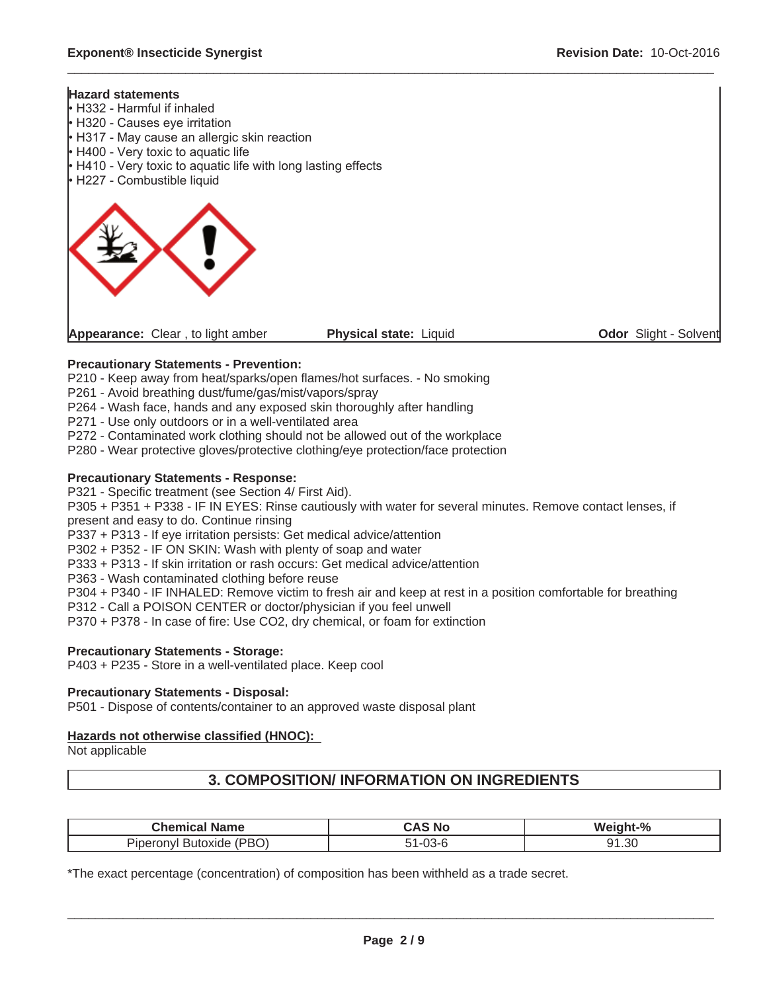$\mathbf{I}$ 

## **Hazard statements**

| Appearance: Clear, to light amber                                                                                                                                                                                                                                            | Physical state: Liquid | Odor Slight - Solvent |
|------------------------------------------------------------------------------------------------------------------------------------------------------------------------------------------------------------------------------------------------------------------------------|------------------------|-----------------------|
|                                                                                                                                                                                                                                                                              |                        |                       |
| $\cdot$ H332 - Harmful if inhaled<br>• H320 - Causes eye irritation<br>$\cdot$ H317 - May cause an allergic skin reaction<br>$\cdot$ H400 - Very toxic to aquatic life<br>$\cdot$ H410 - Very toxic to aquatic life with long lasting effects<br>• H227 - Combustible liquid |                        |                       |

 $\_$  ,  $\_$  ,  $\_$  ,  $\_$  ,  $\_$  ,  $\_$  ,  $\_$  ,  $\_$  ,  $\_$  ,  $\_$  ,  $\_$  ,  $\_$  ,  $\_$  ,  $\_$  ,  $\_$  ,  $\_$  ,  $\_$  ,  $\_$  ,  $\_$  ,  $\_$  ,  $\_$  ,  $\_$  ,  $\_$  ,  $\_$  ,  $\_$  ,  $\_$  ,  $\_$  ,  $\_$  ,  $\_$  ,  $\_$  ,  $\_$  ,  $\_$  ,  $\_$  ,  $\_$  ,  $\_$  ,  $\_$  ,  $\_$  ,

## **Precautionary Statements - Prevention:**

P210 - Keep away from heat/sparks/open flames/hot surfaces. - No smoking

- P261 Avoid breathing dust/fume/gas/mist/vapors/spray
- P264 Wash face, hands and any exposed skin thoroughly after handling
- P271 Use only outdoors or in a well-ventilated area

P272 - Contaminated work clothing should not be allowed out of the workplace

P280 - Wear protective gloves/protective clothing/eye protection/face protection

## **Precautionary Statements - Response:**

P321 - Specific treatment (see Section 4/ First Aid).

P305 + P351 + P338 - IF IN EYES: Rinse cautiously with water for several minutes. Remove contact lenses, if present and easy to do. Continue rinsing

P337 + P313 - If eye irritation persists: Get medical advice/attention

P302 + P352 - IF ON SKIN: Wash with plenty of soap and water

P333 + P313 - If skin irritation or rash occurs: Get medical advice/attention

P363 - Wash contaminated clothing before reuse

P304 + P340 - IF INHALED: Remove victim to fresh air and keep at rest in a position comfortable for breathing

P312 - Call a POISON CENTER or doctor/physician if you feel unwell

P370 + P378 - In case of fire: Use CO2, dry chemical, or foam for extinction

## **Precautionary Statements - Storage:**

P403 + P235 - Store in a well-ventilated place. Keep cool

## **Precautionary Statements - Disposal:**

P501 - Dispose of contents/container to an approved waste disposal plant

## **Hazards not otherwise classified (HNOC):**

Not applicable

## **3. COMPOSITION/ INFORMATION ON INGREDIENTS**

| <b>Chemical Name</b>              | ٠Δ.<br>N0                   | Weight-% |
|-----------------------------------|-----------------------------|----------|
| (PBO)<br>Piperonyl<br>' Butoxide, | $\cap$<br>. ו - ו<br>. U3-r | 91.30    |

\*The exact percentage (concentration) of composition has been withheld as a trade secret.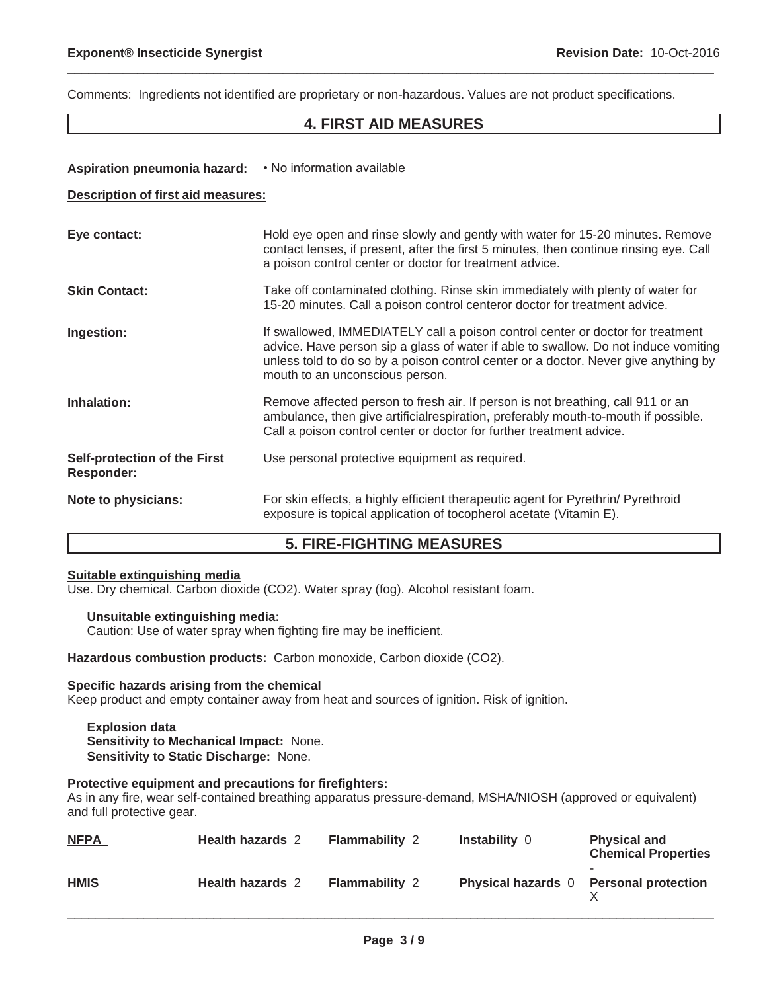Comments: Ingredients not identified are proprietary or non-hazardous. Values are not product specifications.

## **4. FIRST AID MEASURES**

 $\_$  ,  $\_$  ,  $\_$  ,  $\_$  ,  $\_$  ,  $\_$  ,  $\_$  ,  $\_$  ,  $\_$  ,  $\_$  ,  $\_$  ,  $\_$  ,  $\_$  ,  $\_$  ,  $\_$  ,  $\_$  ,  $\_$  ,  $\_$  ,  $\_$  ,  $\_$  ,  $\_$  ,  $\_$  ,  $\_$  ,  $\_$  ,  $\_$  ,  $\_$  ,  $\_$  ,  $\_$  ,  $\_$  ,  $\_$  ,  $\_$  ,  $\_$  ,  $\_$  ,  $\_$  ,  $\_$  ,  $\_$  ,  $\_$  ,

## Aspiration pneumonia hazard: • No information available

#### **Description of first aid measures:**

| Eye contact:                                      | Hold eye open and rinse slowly and gently with water for 15-20 minutes. Remove<br>contact lenses, if present, after the first 5 minutes, then continue rinsing eye. Call<br>a poison control center or doctor for treatment advice.                                                             |
|---------------------------------------------------|-------------------------------------------------------------------------------------------------------------------------------------------------------------------------------------------------------------------------------------------------------------------------------------------------|
| <b>Skin Contact:</b>                              | Take off contaminated clothing. Rinse skin immediately with plenty of water for<br>15-20 minutes. Call a poison control centeror doctor for treatment advice.                                                                                                                                   |
| Ingestion:                                        | If swallowed, IMMEDIATELY call a poison control center or doctor for treatment<br>advice. Have person sip a glass of water if able to swallow. Do not induce vomiting<br>unless told to do so by a poison control center or a doctor. Never give anything by<br>mouth to an unconscious person. |
| Inhalation:                                       | Remove affected person to fresh air. If person is not breathing, call 911 or an<br>ambulance, then give artificialrespiration, preferably mouth-to-mouth if possible.<br>Call a poison control center or doctor for further treatment advice.                                                   |
| Self-protection of the First<br><b>Responder:</b> | Use personal protective equipment as required.                                                                                                                                                                                                                                                  |
| Note to physicians:                               | For skin effects, a highly efficient therapeutic agent for Pyrethrin/ Pyrethroid<br>exposure is topical application of tocopherol acetate (Vitamin E).                                                                                                                                          |

## **5. FIRE-FIGHTING MEASURES**

## **Suitable extinguishing media**

Use. Dry chemical. Carbon dioxide (CO2). Water spray (fog). Alcohol resistant foam.

## **Unsuitable extinguishing media:**

Caution: Use of water spray when fighting fire may be inefficient.

**Hazardous combustion products:** Carbon monoxide, Carbon dioxide (CO2).

#### **Specific hazards arising from the chemical**

Keep product and empty container away from heat and sources of ignition. Risk of ignition.

**Explosion data Sensitivity to Mechanical Impact:** None. **Sensitivity to Static Discharge:** None.

## **Protective equipment and precautions for firefighters:**

As in any fire, wear self-contained breathing apparatus pressure-demand, MSHA/NIOSH (approved or equivalent) and full protective gear.

| <b>NFPA</b> | <b>Health hazards 2</b> | <b>Flammability 2</b> | <b>Instability 0</b>                   | <b>Physical and</b><br><b>Chemical Properties</b> |
|-------------|-------------------------|-----------------------|----------------------------------------|---------------------------------------------------|
| <b>HMIS</b> | <b>Health hazards 2</b> | <b>Flammability 2</b> | Physical hazards 0 Personal protection |                                                   |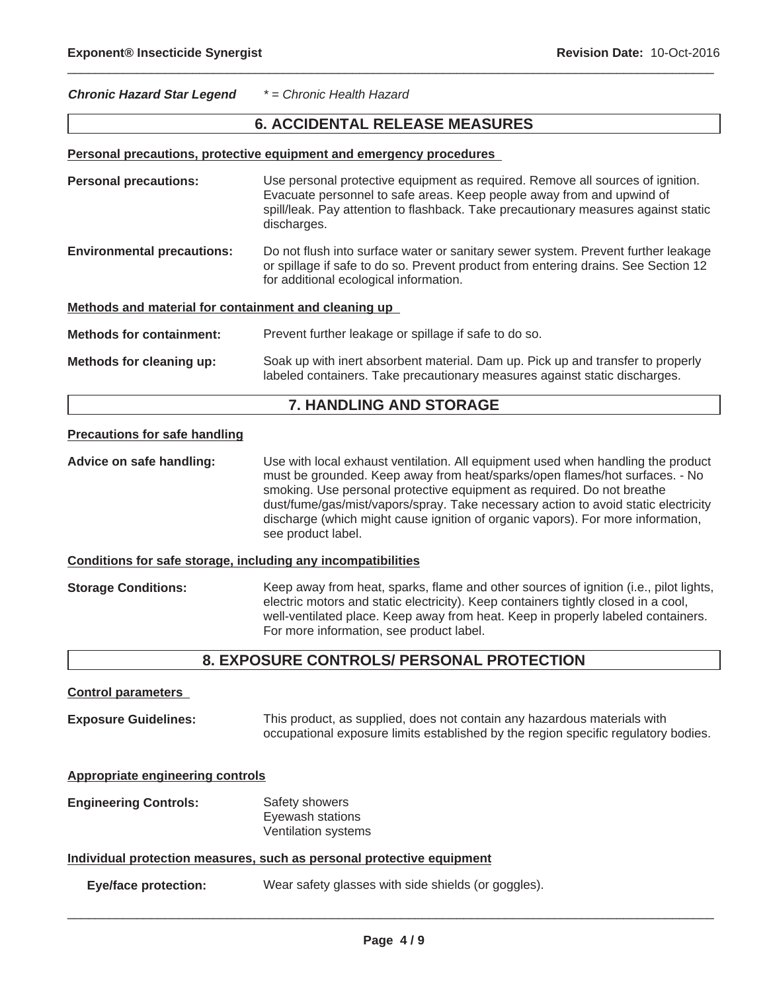## **Chronic Hazard Star Legend** *\* = Chronic Health Hazard*

## **6. ACCIDENTAL RELEASE MEASURES**

 $\_$  ,  $\_$  ,  $\_$  ,  $\_$  ,  $\_$  ,  $\_$  ,  $\_$  ,  $\_$  ,  $\_$  ,  $\_$  ,  $\_$  ,  $\_$  ,  $\_$  ,  $\_$  ,  $\_$  ,  $\_$  ,  $\_$  ,  $\_$  ,  $\_$  ,  $\_$  ,  $\_$  ,  $\_$  ,  $\_$  ,  $\_$  ,  $\_$  ,  $\_$  ,  $\_$  ,  $\_$  ,  $\_$  ,  $\_$  ,  $\_$  ,  $\_$  ,  $\_$  ,  $\_$  ,  $\_$  ,  $\_$  ,  $\_$  ,

#### **Personal precautions, protective equipment and emergency procedures**

| <b>Personal precautions:</b>                         | Use personal protective equipment as required. Remove all sources of ignition.<br>Evacuate personnel to safe areas. Keep people away from and upwind of<br>spill/leak. Pay attention to flashback. Take precautionary measures against static<br>discharges. |  |  |
|------------------------------------------------------|--------------------------------------------------------------------------------------------------------------------------------------------------------------------------------------------------------------------------------------------------------------|--|--|
| <b>Environmental precautions:</b>                    | Do not flush into surface water or sanitary sewer system. Prevent further leakage<br>or spillage if safe to do so. Prevent product from entering drains. See Section 12<br>for additional ecological information.                                            |  |  |
| Methods and material for containment and cleaning up |                                                                                                                                                                                                                                                              |  |  |
| <b>Methods for containment:</b>                      | Prevent further leakage or spillage if safe to do so.                                                                                                                                                                                                        |  |  |
| Methods for cleaning up:                             | Soak up with inert absorbent material. Dam up. Pick up and transfer to properly<br>labeled containers. Take precautionary measures against static discharges.                                                                                                |  |  |

## **7. HANDLING AND STORAGE**

### **Precautions for safe handling**

**Advice on safe handling:** Use with local exhaust ventilation. All equipment used when handling the product must be grounded. Keep away from heat/sparks/open flames/hot surfaces. - No smoking. Use personal protective equipment as required. Do not breathe dust/fume/gas/mist/vapors/spray. Take necessary action to avoid static electricity discharge (which might cause ignition of organic vapors). For more information, see product label.

## **Conditions for safe storage, including any incompatibilities**

**Storage Conditions:** Keep away from heat, sparks, flame and other sources of ignition (i.e., pilot lights, electric motors and static electricity). Keep containers tightly closed in a cool, well-ventilated place. Keep away from heat. Keep in properly labeled containers. For more information, see product label.

## **8. EXPOSURE CONTROLS/ PERSONAL PROTECTION**

**Exposure Guidelines:** This product, as supplied, does not contain any hazardous materials with occupational exposure limits established by the region specific regulatory bodies.

|  | <b>Appropriate engineering controls</b> |  |
|--|-----------------------------------------|--|
|  |                                         |  |

**Engineering Controls:** Safety showers Eyewash stations Ventilation systems

#### **Individual protection measures, such as personal protective equipment**

**Eye/face protection:** Wear safety glasses with side shields (or goggles).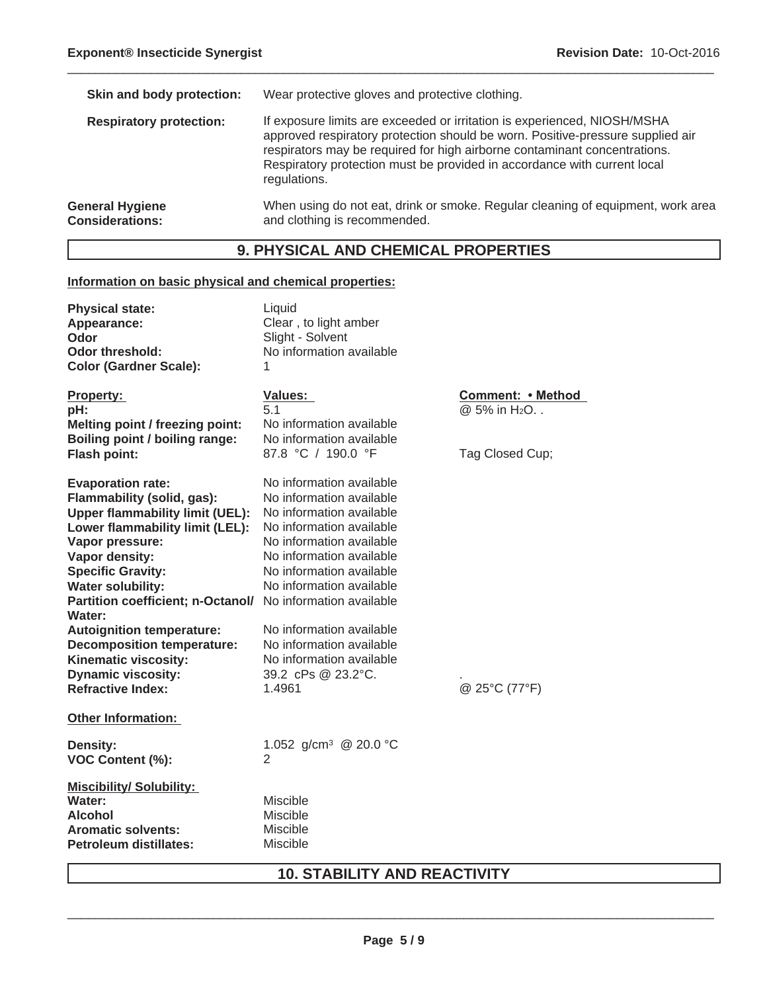| Skin and body protection:                        | Wear protective gloves and protective clothing.                                                                                                                                                                                                                                                                                     |
|--------------------------------------------------|-------------------------------------------------------------------------------------------------------------------------------------------------------------------------------------------------------------------------------------------------------------------------------------------------------------------------------------|
| <b>Respiratory protection:</b>                   | If exposure limits are exceeded or irritation is experienced, NIOSH/MSHA<br>approved respiratory protection should be worn. Positive-pressure supplied air<br>respirators may be required for high airborne contaminant concentrations.<br>Respiratory protection must be provided in accordance with current local<br>regulations. |
| <b>General Hygiene</b><br><b>Considerations:</b> | When using do not eat, drink or smoke. Regular cleaning of equipment, work area<br>and clothing is recommended.                                                                                                                                                                                                                     |

 $\_$  ,  $\_$  ,  $\_$  ,  $\_$  ,  $\_$  ,  $\_$  ,  $\_$  ,  $\_$  ,  $\_$  ,  $\_$  ,  $\_$  ,  $\_$  ,  $\_$  ,  $\_$  ,  $\_$  ,  $\_$  ,  $\_$  ,  $\_$  ,  $\_$  ,  $\_$  ,  $\_$  ,  $\_$  ,  $\_$  ,  $\_$  ,  $\_$  ,  $\_$  ,  $\_$  ,  $\_$  ,  $\_$  ,  $\_$  ,  $\_$  ,  $\_$  ,  $\_$  ,  $\_$  ,  $\_$  ,  $\_$  ,  $\_$  ,

# **9. PHYSICAL AND CHEMICAL PROPERTIES**

## **Information on basic physical and chemical properties:**

| <b>Physical state:</b><br>Appearance:<br>Odor<br>Odor threshold:<br><b>Color (Gardner Scale):</b>                                                                                                                                                                                                                                                                                                                                                                         | Liquid<br>Clear, to light amber<br>Slight - Solvent<br>No information available<br>1                                                                                                                                                                                                                                                             |                                                                         |
|---------------------------------------------------------------------------------------------------------------------------------------------------------------------------------------------------------------------------------------------------------------------------------------------------------------------------------------------------------------------------------------------------------------------------------------------------------------------------|--------------------------------------------------------------------------------------------------------------------------------------------------------------------------------------------------------------------------------------------------------------------------------------------------------------------------------------------------|-------------------------------------------------------------------------|
| <b>Property:</b><br>pH:<br>Melting point / freezing point:<br>Boiling point / boiling range:<br><b>Flash point:</b>                                                                                                                                                                                                                                                                                                                                                       | Values:<br>51<br>No information available<br>No information available<br>87.8 °C / 190.0 °F                                                                                                                                                                                                                                                      | <b>Comment: • Method</b><br>@ 5% in H <sub>2</sub> O<br>Tag Closed Cup; |
| <b>Evaporation rate:</b><br>Flammability (solid, gas):<br><b>Upper flammability limit (UEL):</b><br>Lower flammability limit (LEL):<br>Vapor pressure:<br>Vapor density:<br><b>Specific Gravity:</b><br><b>Water solubility:</b><br>Partition coefficient; n-Octanol/ No information available<br><b>Water:</b><br><b>Autoignition temperature:</b><br><b>Decomposition temperature:</b><br>Kinematic viscosity:<br><b>Dynamic viscosity:</b><br><b>Refractive Index:</b> | No information available<br>No information available<br>No information available<br>No information available<br>No information available<br>No information available<br>No information available<br>No information available<br>No information available<br>No information available<br>No information available<br>39.2 cPs @ 23.2°C.<br>1.4961 | @ 25°C (77°F)                                                           |
| <b>Other Information:</b>                                                                                                                                                                                                                                                                                                                                                                                                                                                 |                                                                                                                                                                                                                                                                                                                                                  |                                                                         |
| Density:<br>VOC Content (%):                                                                                                                                                                                                                                                                                                                                                                                                                                              | 1.052 g/cm <sup>3</sup> @ 20.0 °C<br>2                                                                                                                                                                                                                                                                                                           |                                                                         |
| <b>Miscibility/ Solubility:</b><br>Water:<br>Alcohol<br><b>Aromatic solvents:</b><br><b>Petroleum distillates:</b>                                                                                                                                                                                                                                                                                                                                                        | Miscible<br>Miscible<br><b>Miscible</b><br><b>Miscible</b>                                                                                                                                                                                                                                                                                       |                                                                         |

# **10. STABILITY AND REACTIVITY**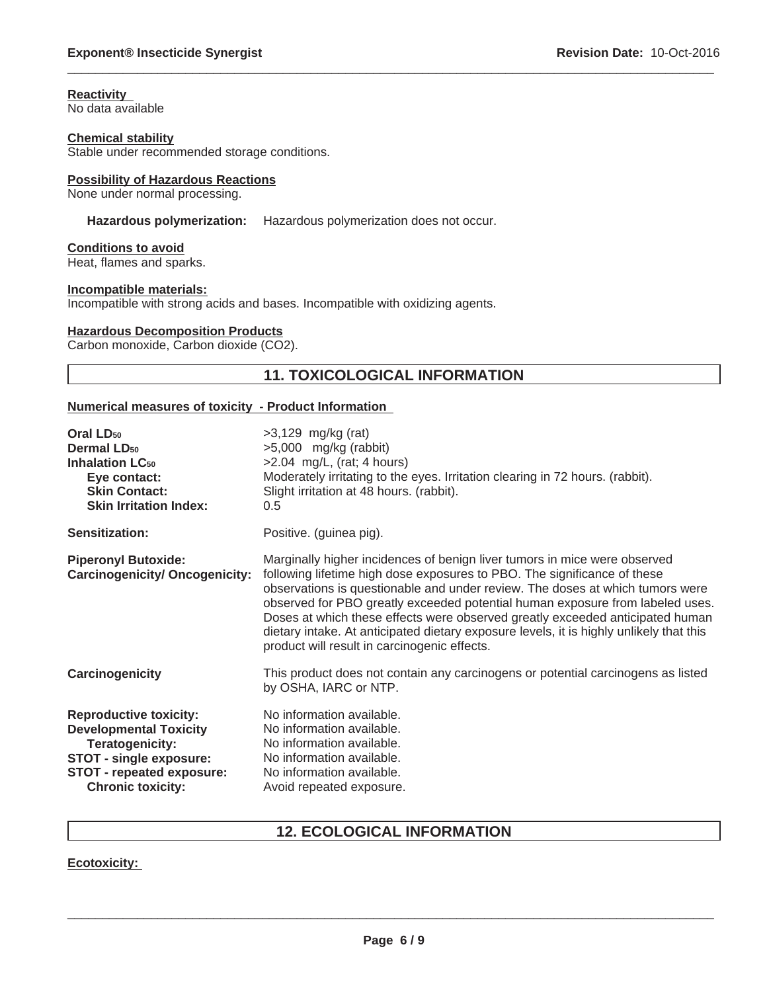#### **Reactivity** No data available

## **Chemical stability**

Stable under recommended storage conditions.

## **Possibility of Hazardous Reactions**

None under normal processing.

## **Hazardous polymerization:** Hazardous polymerization does not occur.

### **Conditions to avoid**

Heat, flames and sparks.

#### **Incompatible materials:**

Incompatible with strong acids and bases. Incompatible with oxidizing agents.

### **Hazardous Decomposition Products**

Carbon monoxide, Carbon dioxide (CO2).

## **11. TOXICOLOGICAL INFORMATION**

 $\_$  ,  $\_$  ,  $\_$  ,  $\_$  ,  $\_$  ,  $\_$  ,  $\_$  ,  $\_$  ,  $\_$  ,  $\_$  ,  $\_$  ,  $\_$  ,  $\_$  ,  $\_$  ,  $\_$  ,  $\_$  ,  $\_$  ,  $\_$  ,  $\_$  ,  $\_$  ,  $\_$  ,  $\_$  ,  $\_$  ,  $\_$  ,  $\_$  ,  $\_$  ,  $\_$  ,  $\_$  ,  $\_$  ,  $\_$  ,  $\_$  ,  $\_$  ,  $\_$  ,  $\_$  ,  $\_$  ,  $\_$  ,  $\_$  ,

## **Numerical measures of toxicity - Product Information**

| Oral LD <sub>50</sub><br><b>Dermal LD<sub>50</sub></b><br><b>Inhalation LC<sub>50</sub></b><br>Eye contact:<br><b>Skin Contact:</b><br><b>Skin Irritation Index:</b>         | $>3,129$ mg/kg (rat)<br>$>5,000$ mg/kg (rabbit)<br>$>2.04$ mg/L, (rat; 4 hours)<br>Moderately irritating to the eyes. Irritation clearing in 72 hours. (rabbit).<br>Slight irritation at 48 hours. (rabbit).<br>0.5                                                                                                                                                                                                                                                                                                                                 |
|------------------------------------------------------------------------------------------------------------------------------------------------------------------------------|-----------------------------------------------------------------------------------------------------------------------------------------------------------------------------------------------------------------------------------------------------------------------------------------------------------------------------------------------------------------------------------------------------------------------------------------------------------------------------------------------------------------------------------------------------|
| <b>Sensitization:</b>                                                                                                                                                        | Positive. (guinea pig).                                                                                                                                                                                                                                                                                                                                                                                                                                                                                                                             |
| <b>Piperonyl Butoxide:</b><br><b>Carcinogenicity/ Oncogenicity:</b>                                                                                                          | Marginally higher incidences of benign liver tumors in mice were observed<br>following lifetime high dose exposures to PBO. The significance of these<br>observations is questionable and under review. The doses at which tumors were<br>observed for PBO greatly exceeded potential human exposure from labeled uses.<br>Doses at which these effects were observed greatly exceeded anticipated human<br>dietary intake. At anticipated dietary exposure levels, it is highly unlikely that this<br>product will result in carcinogenic effects. |
| Carcinogenicity                                                                                                                                                              | This product does not contain any carcinogens or potential carcinogens as listed<br>by OSHA, IARC or NTP.                                                                                                                                                                                                                                                                                                                                                                                                                                           |
| <b>Reproductive toxicity:</b><br><b>Developmental Toxicity</b><br>Teratogenicity:<br><b>STOT - single exposure:</b><br>STOT - repeated exposure:<br><b>Chronic toxicity:</b> | No information available.<br>No information available.<br>No information available.<br>No information available.<br>No information available.<br>Avoid repeated exposure.                                                                                                                                                                                                                                                                                                                                                                           |

## **12. ECOLOGICAL INFORMATION**

## **Ecotoxicity:**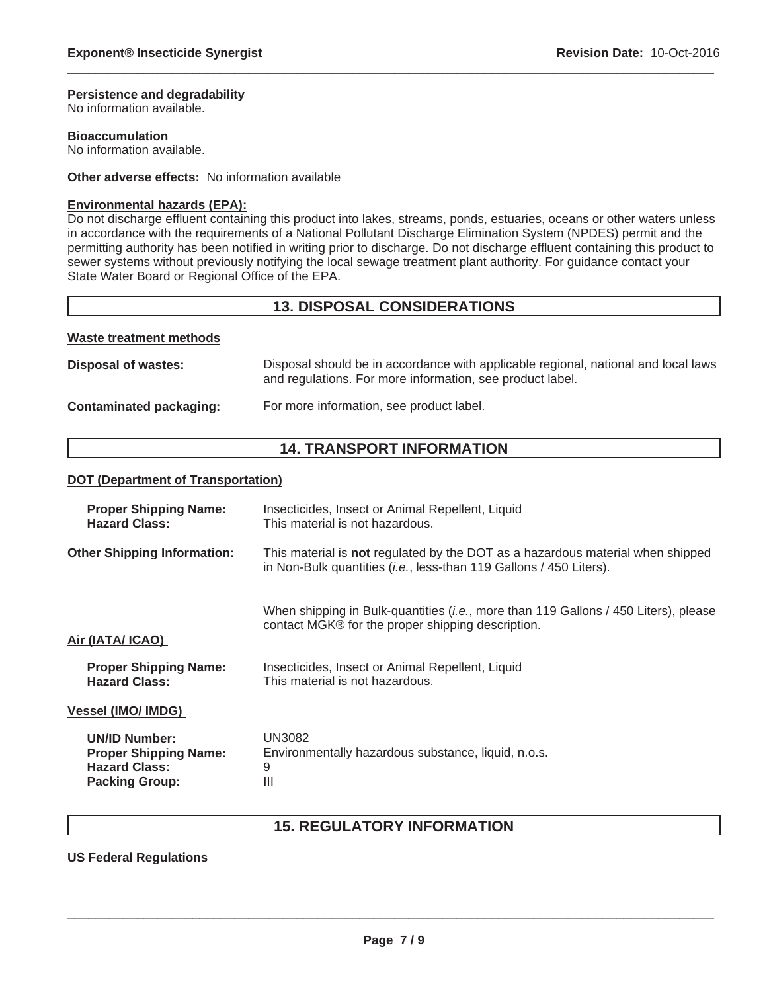#### **Persistence and degradability**

No information available.

**Bioaccumulation**

No information available.

### **Other adverse effects:** No information available

### **Environmental hazards (EPA):**

Do not discharge effluent containing this product into lakes, streams, ponds, estuaries, oceans or other waters unless in accordance with the requirements of a National Pollutant Discharge Elimination System (NPDES) permit and the permitting authority has been notified in writing prior to discharge. Do not discharge effluent containing this product to sewer systems without previously notifying the local sewage treatment plant authority. For guidance contact your State Water Board or Regional Office of the EPA.

 $\_$  ,  $\_$  ,  $\_$  ,  $\_$  ,  $\_$  ,  $\_$  ,  $\_$  ,  $\_$  ,  $\_$  ,  $\_$  ,  $\_$  ,  $\_$  ,  $\_$  ,  $\_$  ,  $\_$  ,  $\_$  ,  $\_$  ,  $\_$  ,  $\_$  ,  $\_$  ,  $\_$  ,  $\_$  ,  $\_$  ,  $\_$  ,  $\_$  ,  $\_$  ,  $\_$  ,  $\_$  ,  $\_$  ,  $\_$  ,  $\_$  ,  $\_$  ,  $\_$  ,  $\_$  ,  $\_$  ,  $\_$  ,  $\_$  ,

## **13. DISPOSAL CONSIDERATIONS**

#### **Waste treatment methods**

| Disposal of wastes:     | Disposal should be in accordance with applicable regional, national and local laws<br>and regulations. For more information, see product label. |
|-------------------------|-------------------------------------------------------------------------------------------------------------------------------------------------|
| Contaminated packaging: | For more information, see product label.                                                                                                        |

## **14. TRANSPORT INFORMATION**

#### **DOT (Department of Transportation)**

| <b>Proper Shipping Name:</b>       | Insecticides, Insect or Animal Repellent, Liquid                                                                                                              |  |
|------------------------------------|---------------------------------------------------------------------------------------------------------------------------------------------------------------|--|
| <b>Hazard Class:</b>               | This material is not hazardous.                                                                                                                               |  |
| <b>Other Shipping Information:</b> | This material is not regulated by the DOT as a hazardous material when shipped<br>in Non-Bulk quantities ( <i>i.e.</i> , less-than 119 Gallons / 450 Liters). |  |
| Air (IATA/ ICAO)                   | When shipping in Bulk-quantities ( <i>i.e.</i> , more than 119 Gallons / 450 Liters), please<br>contact MGK® for the proper shipping description.             |  |
| <b>Proper Shipping Name:</b>       | Insecticides, Insect or Animal Repellent, Liquid                                                                                                              |  |
| <b>Hazard Class:</b>               | This material is not hazardous.                                                                                                                               |  |
| <b>Vessel (IMO/ IMDG)</b>          |                                                                                                                                                               |  |
| <b>UN/ID Number:</b>               | UN3082                                                                                                                                                        |  |
| <b>Proper Shipping Name:</b>       | Environmentally hazardous substance, liquid, n.o.s.                                                                                                           |  |
| <b>Hazard Class:</b>               | 9                                                                                                                                                             |  |
| <b>Packing Group:</b>              | Ш                                                                                                                                                             |  |

# **15. REGULATORY INFORMATION**

## **US Federal Regulations**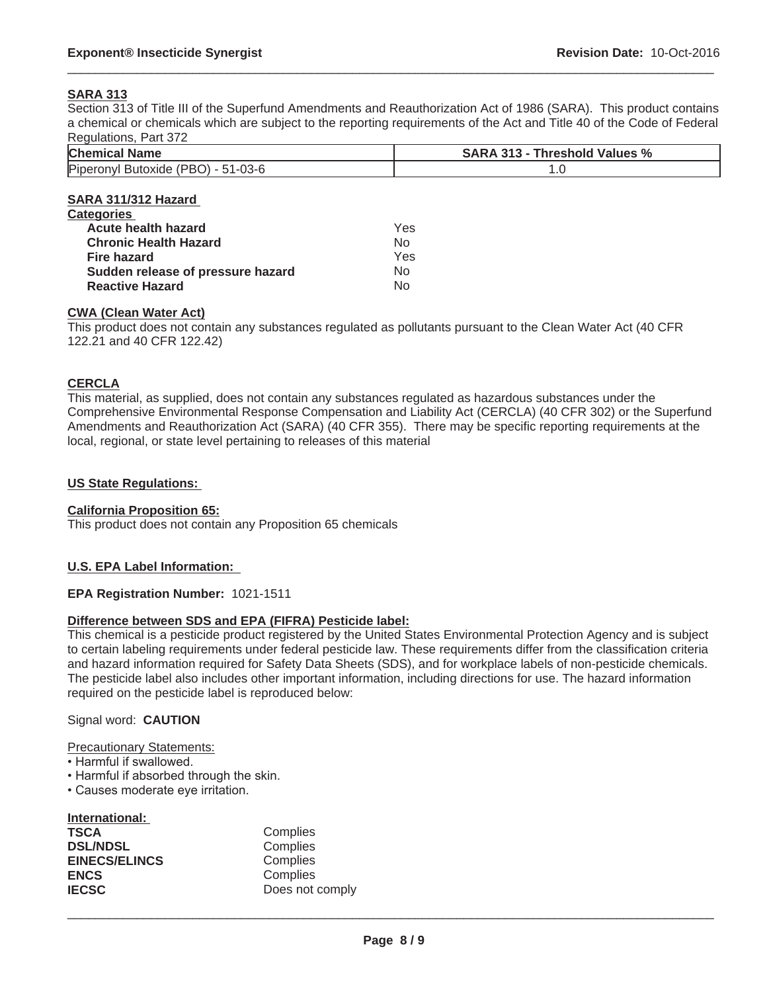## **SARA 313**

Section 313 of Title III of the Superfund Amendments and Reauthorization Act of 1986 (SARA). This product contains a chemical or chemicals which are subject to the reporting requirements of the Act and Title 40 of the Code of Federal Regulations, Part 372

 $\_$  ,  $\_$  ,  $\_$  ,  $\_$  ,  $\_$  ,  $\_$  ,  $\_$  ,  $\_$  ,  $\_$  ,  $\_$  ,  $\_$  ,  $\_$  ,  $\_$  ,  $\_$  ,  $\_$  ,  $\_$  ,  $\_$  ,  $\_$  ,  $\_$  ,  $\_$  ,  $\_$  ,  $\_$  ,  $\_$  ,  $\_$  ,  $\_$  ,  $\_$  ,  $\_$  ,  $\_$  ,  $\_$  ,  $\_$  ,  $\_$  ,  $\_$  ,  $\_$  ,  $\_$  ,  $\_$  ,  $\_$  ,  $\_$  ,

| <b>Chemical Name</b>               | <b>SARA 313 - Threshold Values %</b> |  |
|------------------------------------|--------------------------------------|--|
| Piperonyl Butoxide (PBO) - 51-03-6 | 1.0                                  |  |
| SARA 311/312 Hazard                |                                      |  |
| <b>Categories</b>                  |                                      |  |
| Acute health hazard                | Yes                                  |  |
| <b>Chronic Health Hazard</b>       | No.                                  |  |
| <b>Fire hazard</b>                 | Yes                                  |  |
| Sudden release of pressure hazard  | No.                                  |  |
| <b>Reactive Hazard</b>             | No.                                  |  |

This product does not contain any substances regulated as pollutants pursuant to the Clean Water Act (40 CFR 122.21 and 40 CFR 122.42)

#### **CERCLA**

This material, as supplied, does not contain any substances regulated as hazardous substances under the Comprehensive Environmental Response Compensation and Liability Act (CERCLA) (40 CFR 302) or the Superfund Amendments and Reauthorization Act (SARA) (40 CFR 355). There may be specific reporting requirements at the local, regional, or state level pertaining to releases of this material

#### **US State Regulations:**

## **California Proposition 65:**

This product does not contain any Proposition 65 chemicals

## **U.S. EPA Label Information:**

#### **EPA Registration Number:** 1021-1511

#### **Difference between SDS and EPA (FIFRA) Pesticide label:**

This chemical is a pesticide product registered by the United States Environmental Protection Agency and is subject to certain labeling requirements under federal pesticide law. These requirements differ from the classification criteria and hazard information required for Safety Data Sheets (SDS), and for workplace labels of non-pesticide chemicals. The pesticide label also includes other important information, including directions for use. The hazard information required on the pesticide label is reproduced below:

#### Signal word: **CAUTION**

#### Precautionary Statements:

- Harmful if swallowed.
- Harmful if absorbed through the skin.
- Causes moderate eye irritation.

### **International:**

| TSCA                 | Complies        |
|----------------------|-----------------|
| <b>DSL/NDSL</b>      | Complies        |
| <b>EINECS/ELINCS</b> | Complies        |
| <b>ENCS</b>          | Complies        |
| <b>IECSC</b>         | Does not comply |